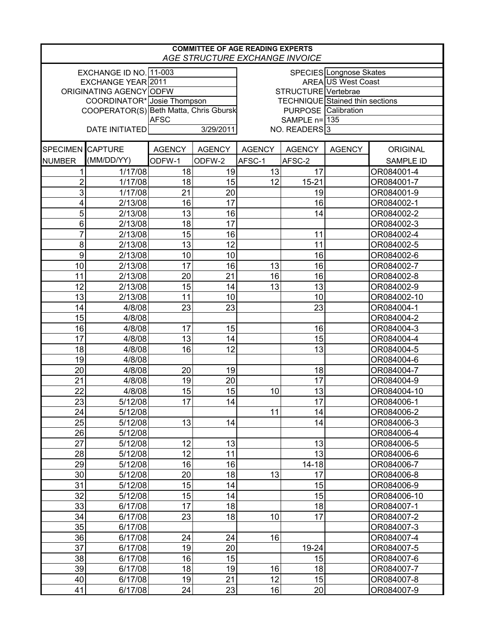| <b>COMMITTEE OF AGE READING EXPERTS</b><br>AGE STRUCTURE EXCHANGE INVOICE |                             |                                        |               |                            |                                        |                           |                  |  |  |
|---------------------------------------------------------------------------|-----------------------------|----------------------------------------|---------------|----------------------------|----------------------------------------|---------------------------|------------------|--|--|
| EXCHANGE ID NO. 11-003<br>SPECIES Longnose Skates                         |                             |                                        |               |                            |                                        |                           |                  |  |  |
| EXCHANGE YEAR 2011                                                        |                             |                                        |               |                            |                                        | <b>AREA US West Coast</b> |                  |  |  |
| ORIGINATING AGENCY ODFW                                                   |                             |                                        |               | STRUCTURE Vertebrae        |                                        |                           |                  |  |  |
|                                                                           | COORDINATOR* Josie Thompson |                                        |               |                            | <b>TECHNIQUE</b> Stained thin sections |                           |                  |  |  |
|                                                                           |                             | COOPERATOR(S) Beth Matta, Chris Gbursk |               | <b>PURPOSE</b> Calibration |                                        |                           |                  |  |  |
|                                                                           |                             | <b>AFSC</b>                            |               | SAMPLE n= 135              |                                        |                           |                  |  |  |
| <b>DATE INITIATED</b>                                                     |                             | 3/29/2011                              |               | NO. READERS <sup>3</sup>   |                                        |                           |                  |  |  |
| SPECIMEN CAPTURE                                                          |                             | <b>AGENCY</b>                          | <b>AGENCY</b> | <b>AGENCY</b>              | <b>AGENCY</b>                          | <b>AGENCY</b>             | <b>ORIGINAL</b>  |  |  |
| <b>NUMBER</b>                                                             | (MM/DD/YY)                  | ODFW-1                                 | ODFW-2        | AFSC-1                     | AFSC-2                                 |                           | <b>SAMPLE ID</b> |  |  |
| 1                                                                         | 1/17/08                     | 18                                     | 19            | 13                         | 17                                     |                           | OR084001-4       |  |  |
| $\overline{2}$                                                            | 1/17/08                     | 18                                     | 15            | 12                         | $15 - 21$                              |                           | OR084001-7       |  |  |
| 3                                                                         | 1/17/08                     | 21                                     | 20            |                            | 19                                     |                           | OR084001-9       |  |  |
| 4                                                                         | 2/13/08                     | 16                                     | 17            |                            | 16                                     |                           | OR084002-1       |  |  |
| 5                                                                         | 2/13/08                     | 13                                     | 16            |                            | 14                                     |                           | OR084002-2       |  |  |
| 6                                                                         | 2/13/08                     | 18                                     | 17            |                            |                                        |                           | OR084002-3       |  |  |
| 7                                                                         | 2/13/08                     | 15                                     | 16            |                            | 11                                     |                           | OR084002-4       |  |  |
| 8                                                                         | 2/13/08                     | 13                                     | 12            |                            | 11                                     |                           | OR084002-5       |  |  |
| 9                                                                         | 2/13/08                     | 10                                     | 10            |                            | 16                                     |                           | OR084002-6       |  |  |
| 10                                                                        | 2/13/08                     | 17                                     | 16            | 13                         | 16                                     |                           | OR084002-7       |  |  |
| 11                                                                        | 2/13/08                     | 20                                     | 21            | 16                         | 16                                     |                           | OR084002-8       |  |  |
| 12                                                                        | 2/13/08                     | 15                                     | 14            | 13                         | 13                                     |                           | OR084002-9       |  |  |
| 13                                                                        | 2/13/08                     | 11                                     | 10            |                            | 10                                     |                           | OR084002-10      |  |  |
| 14                                                                        | 4/8/08                      | 23                                     | 23            |                            | 23                                     |                           | OR084004-1       |  |  |
| 15                                                                        | 4/8/08                      |                                        |               |                            |                                        |                           | OR084004-2       |  |  |
| 16                                                                        | 4/8/08                      | 17                                     | 15            |                            | 16                                     |                           | OR084004-3       |  |  |
| 17                                                                        | 4/8/08                      | 13                                     | 14            |                            | 15                                     |                           | OR084004-4       |  |  |
| 18                                                                        | 4/8/08                      | 16                                     | 12            |                            | 13                                     |                           | OR084004-5       |  |  |
| 19                                                                        | 4/8/08                      |                                        |               |                            |                                        |                           | OR084004-6       |  |  |
| 20                                                                        | 4/8/08                      | 20                                     | 19            |                            | 18                                     |                           | OR084004-7       |  |  |
| 21                                                                        | 4/8/08                      | 19                                     | 20            |                            | 17                                     |                           | OR084004-9       |  |  |
| 22                                                                        | 4/8/08                      | 15                                     | 15            | 10                         | 13                                     |                           | OR084004-10      |  |  |
| 23                                                                        | 5/12/08                     | 17                                     | 14            |                            | 17                                     |                           | OR084006-1       |  |  |
| 24                                                                        | 5/12/08                     |                                        |               | 11                         | 14                                     |                           | OR084006-2       |  |  |
| 25                                                                        | 5/12/08                     | 13                                     | 14            |                            | 14                                     |                           | OR084006-3       |  |  |
| 26                                                                        | 5/12/08                     |                                        |               |                            |                                        |                           | OR084006-4       |  |  |
| 27                                                                        | 5/12/08                     | 12                                     | 13            |                            | 13                                     |                           | OR084006-5       |  |  |
| 28                                                                        | 5/12/08                     | 12                                     | 11            |                            | 13                                     |                           | OR084006-6       |  |  |
| 29                                                                        | 5/12/08                     | 16                                     | 16            |                            | $14 - 18$                              |                           | OR084006-7       |  |  |
| 30                                                                        | 5/12/08                     | 20                                     | 18            | 13                         | 17                                     |                           | OR084006-8       |  |  |
| 31                                                                        | 5/12/08                     | 15                                     | 14            |                            | 15                                     |                           | OR084006-9       |  |  |
| 32                                                                        | 5/12/08                     | 15                                     | 14            |                            | 15                                     |                           | OR084006-10      |  |  |
| 33                                                                        | 6/17/08                     | 17                                     | 18            |                            | 18                                     |                           | OR084007-1       |  |  |
| 34                                                                        | 6/17/08                     | 23                                     | 18            | 10                         | 17                                     |                           | OR084007-2       |  |  |
| 35                                                                        | 6/17/08                     |                                        |               |                            |                                        |                           | OR084007-3       |  |  |
| 36                                                                        | 6/17/08                     | 24                                     | 24            | 16                         |                                        |                           | OR084007-4       |  |  |
| 37                                                                        | 6/17/08                     | 19                                     | 20            |                            | 19-24                                  |                           | OR084007-5       |  |  |
| 38                                                                        | 6/17/08                     | 16                                     | 15            |                            | 15                                     |                           | OR084007-6       |  |  |
| 39                                                                        | 6/17/08                     | 18                                     | 19            | 16                         | 18                                     |                           | OR084007-7       |  |  |
| 40                                                                        | 6/17/08                     | 19                                     | 21            | 12                         | 15                                     |                           | OR084007-8       |  |  |
| 41                                                                        | 6/17/08                     | 24                                     | 23            | 16                         | 20                                     |                           | OR084007-9       |  |  |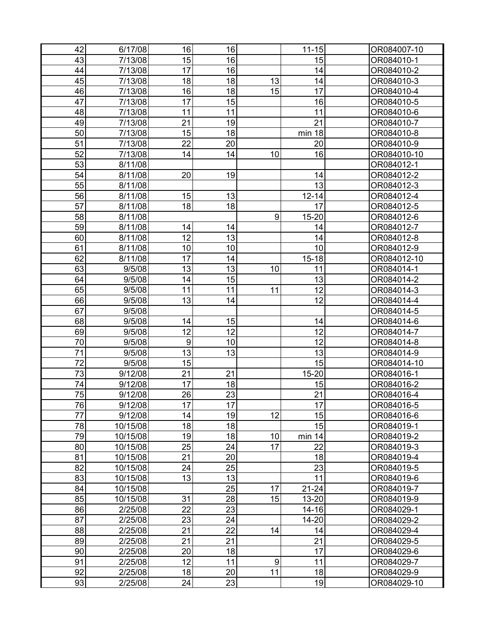| 42 | 6/17/08  | 16               | 16 |    | $11 - 15$ | OR084007-10 |
|----|----------|------------------|----|----|-----------|-------------|
| 43 | 7/13/08  | 15               | 16 |    | 15        | OR084010-1  |
| 44 | 7/13/08  | 17               | 16 |    | 14        | OR084010-2  |
| 45 | 7/13/08  | 18               | 18 | 13 | 14        | OR084010-3  |
| 46 | 7/13/08  | 16               | 18 | 15 | 17        | OR084010-4  |
| 47 | 7/13/08  | 17               | 15 |    | 16        | OR084010-5  |
| 48 | 7/13/08  | 11               | 11 |    | 11        | OR084010-6  |
| 49 | 7/13/08  | 21               | 19 |    | 21        | OR084010-7  |
| 50 | 7/13/08  | 15               | 18 |    | min 18    | OR084010-8  |
| 51 | 7/13/08  | 22               | 20 |    | 20        | OR084010-9  |
| 52 | 7/13/08  | 14               | 14 | 10 | 16        | OR084010-10 |
| 53 | 8/11/08  |                  |    |    |           | OR084012-1  |
| 54 | 8/11/08  | 20               | 19 |    | 14        | OR084012-2  |
| 55 | 8/11/08  |                  |    |    | 13        | OR084012-3  |
| 56 | 8/11/08  | 15               | 13 |    | $12 - 14$ | OR084012-4  |
| 57 | 8/11/08  | 18               | 18 |    | 17        | OR084012-5  |
| 58 | 8/11/08  |                  |    | 9  | $15 - 20$ | OR084012-6  |
| 59 | 8/11/08  | 14               | 14 |    | 14        | OR084012-7  |
| 60 | 8/11/08  | 12               | 13 |    | 14        | OR084012-8  |
| 61 | 8/11/08  | 10               | 10 |    | 10        | OR084012-9  |
| 62 | 8/11/08  | 17               | 14 |    | $15 - 18$ | OR084012-10 |
| 63 | 9/5/08   | 13               | 13 | 10 | 11        | OR084014-1  |
| 64 | 9/5/08   | 14               | 15 |    | 13        | OR084014-2  |
| 65 | 9/5/08   | 11               | 11 | 11 | 12        | OR084014-3  |
| 66 | 9/5/08   | 13               | 14 |    | 12        | OR084014-4  |
| 67 | 9/5/08   |                  |    |    |           | OR084014-5  |
| 68 | 9/5/08   | 14               | 15 |    | 14        | OR084014-6  |
| 69 | 9/5/08   | 12               | 12 |    | 12        | OR084014-7  |
| 70 | 9/5/08   | $\boldsymbol{9}$ | 10 |    | 12        | OR084014-8  |
| 71 | 9/5/08   | 13               | 13 |    | 13        | OR084014-9  |
| 72 | 9/5/08   | 15               |    |    | 15        | OR084014-10 |
| 73 | 9/12/08  | 21               | 21 |    | $15 - 20$ | OR084016-1  |
| 74 | 9/12/08  | 17               | 18 |    | 15        | OR084016-2  |
| 75 | 9/12/08  | 26               | 23 |    | 21        | OR084016-4  |
| 76 | 9/12/08  | 17               | 17 |    | 17        | OR084016-5  |
| 77 | 9/12/08  | 14               | 19 | 12 | 15        | OR084016-6  |
| 78 | 10/15/08 | 18               | 18 |    | 15        | OR084019-1  |
| 79 | 10/15/08 | 19               | 18 | 10 | min 14    | OR084019-2  |
| 80 | 10/15/08 | 25               | 24 | 17 | 22        | OR084019-3  |
| 81 | 10/15/08 | 21               | 20 |    | 18        | OR084019-4  |
| 82 | 10/15/08 | 24               | 25 |    | 23        | OR084019-5  |
| 83 | 10/15/08 | 13               | 13 |    | 11        | OR084019-6  |
| 84 | 10/15/08 |                  | 25 | 17 | $21 - 24$ | OR084019-7  |
| 85 | 10/15/08 | 31               | 28 | 15 | 13-20     | OR084019-9  |
| 86 | 2/25/08  | 22               | 23 |    | $14 - 16$ | OR084029-1  |
| 87 | 2/25/08  | 23               | 24 |    | 14-20     | OR084029-2  |
| 88 | 2/25/08  | 21               | 22 | 14 | 14        | OR084029-4  |
| 89 | 2/25/08  | 21               | 21 |    | 21        | OR084029-5  |
| 90 | 2/25/08  | 20               | 18 |    | 17        | OR084029-6  |
| 91 | 2/25/08  | 12               | 11 | 9  | 11        | OR084029-7  |
| 92 | 2/25/08  | 18               | 20 | 11 | 18        | OR084029-9  |
| 93 | 2/25/08  | 24               | 23 |    | 19        | OR084029-10 |
|    |          |                  |    |    |           |             |